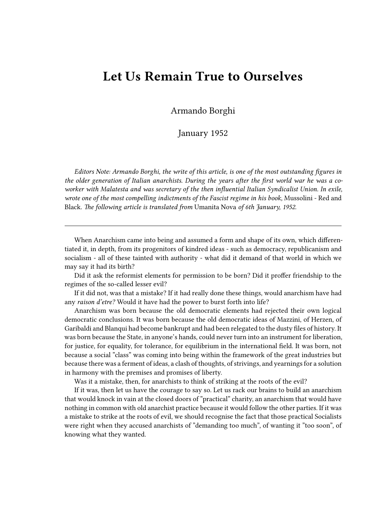## **Let Us Remain True to Ourselves**

Armando Borghi

January 1952

*Editors Note: Armando Borghi, the write of this article, is one of the most outstanding figures in the older generation of Italian anarchists. During the years after the first world war he was a coworker with Malatesta and was secretary of the then influential Italian Syndicalist Union. In exile, wrote one of the most compelling indictments of the Fascist regime in his book,* Mussolini - Red and Black. *The following article is translated from* Umanita Nova *of 6th January, 1952.*

When Anarchism came into being and assumed a form and shape of its own, which differentiated it, in depth, from its progenitors of kindred ideas - such as democracy, republicanism and socialism - all of these tainted with authority - what did it demand of that world in which we may say it had its birth?

Did it ask the reformist elements for permission to be born? Did it proffer friendship to the regimes of the so-called lesser evil?

If it did not, was that a mistake? If it had really done these things, would anarchism have had any *raison d'etre?* Would it have had the power to burst forth into life?

Anarchism was born because the old democratic elements had rejected their own logical democratic conclusions. It was born because the old democratic ideas of Mazzini, of Herzen, of Garibaldi and Blanqui had become bankrupt and had been relegated to the dusty files of history. It was born because the State, in anyone's hands, could never turn into an instrument for liberation, for justice, for equality, for tolerance, for equilibrium in the international field. It was born, not because a social "class" was coming into being within the framework of the great industries but because there was a ferment of ideas, a clash of thoughts, of strivings, and yearnings for a solution in harmony with the premises and promises of liberty.

Was it a mistake, then, for anarchists to think of striking at the roots of the evil?

If it was, then let us have the courage to say so. Let us rack our brains to build an anarchism that would knock in vain at the closed doors of "practical" charity, an anarchism that would have nothing in common with old anarchist practice because it would follow the other parties. If it was a mistake to strike at the roots of evil, we should recognise the fact that those practical Socialists were right when they accused anarchists of "demanding too much", of wanting it "too soon", of knowing what they wanted.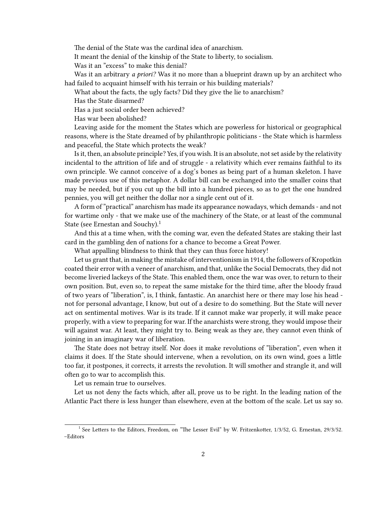The denial of the State was the cardinal idea of anarchism.

It meant the denial of the kinship of the State to liberty, to socialism.

Was it an "excess" to make this denial?

Was it an arbitrary *a priori?* Was it no more than a blueprint drawn up by an architect who had failed to acquaint himself with his terrain or his building materials?

What about the facts, the ugly facts? Did they give the lie to anarchism?

Has the State disarmed?

Has a just social order been achieved?

Has war been abolished?

Leaving aside for the moment the States which are powerless for historical or geographical reasons, where is the State dreamed of by philanthropic politicians - the State which is harmless and peaceful, the State which protects the weak?

Is it, then, an absolute principle? Yes, if you wish. It is an absolute, not set aside by the relativity incidental to the attrition of life and of struggle - a relativity which ever remains faithful to its own principle. We cannot conceive of a dog's bones as being part of a human skeleton. I have made previous use of this metaphor. A dollar bill can be exchanged into the smaller coins that may be needed, but if you cut up the bill into a hundred pieces, so as to get the one hundred pennies, you will get neither the dollar nor a single cent out of it.

A form of "practical" anarchism has made its appearance nowadays, which demands - and not for wartime only - that we make use of the machinery of the State, or at least of the communal State (see Ernestan and Souchy).<sup>1</sup>

And this at a time when, with the coming war, even the defeated States are staking their last card in the gambling den of nations for a chance to become a Great Power.

What appalling blindness to think that they can thus force history!

Let us grant that, in making the mistake of interventionism in 1914, the followers of Kropotkin coated their error with a veneer of anarchism, and that, unlike the Social Democrats, they did not become liveried lackeys of the State. This enabled them, once the war was over, to return to their own position. But, even so, to repeat the same mistake for the third time, after the bloody fraud of two years of "liberation", is, I think, fantastic. An anarchist here or there may lose his head not for personal advantage, I know, but out of a desire to do something. But the State will never act on sentimental motives. War is its trade. If it cannot make war properly, it will make peace properly, with a view to preparing for war. If the anarchists were strong, they would impose their will against war. At least, they might try to. Being weak as they are, they cannot even think of joining in an imaginary war of liberation.

The State does not betray itself. Nor does it make revolutions of "liberation", even when it claims it does. If the State should intervene, when a revolution, on its own wind, goes a little too far, it postpones, it corrects, it arrests the revolution. It will smother and strangle it, and will often go to war to accomplish this.

Let us remain true to ourselves.

Let us not deny the facts which, after all, prove us to be right. In the leading nation of the Atlantic Pact there is less hunger than elsewhere, even at the bottom of the scale. Let us say so.

<sup>&</sup>lt;sup>1</sup> See Letters to the Editors, Freedom, on "The Lesser Evil" by W. Fritzenkotter, 1/3/52, G. Ernestan, 29/3/52. –Editors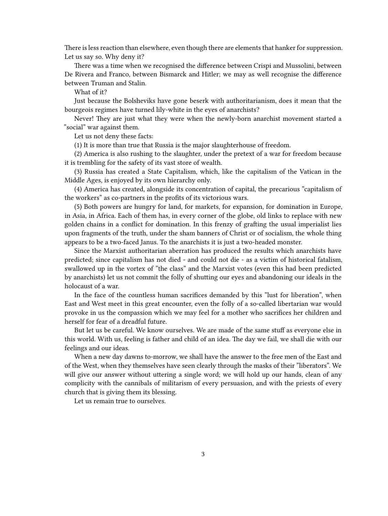There is less reaction than elsewhere, even though there are elements that hanker for suppression. Let us say so. Why deny it?

There was a time when we recognised the difference between Crispi and Mussolini, between De Rivera and Franco, between Bismarck and Hitler; we may as well recognise the difference between Truman and Stalin.

What of it?

Just because the Bolsheviks have gone beserk with authoritarianism, does it mean that the bourgeois regimes have turned lily-white in the eyes of anarchists?

Never! They are just what they were when the newly-born anarchist movement started a "social" war against them.

Let us not deny these facts:

(1) It is more than true that Russia is the major slaughterhouse of freedom.

(2) America is also rushing to the slaughter, under the pretext of a war for freedom because it is trembling for the safety of its vast store of wealth.

(3) Russia has created a State Capitalism, which, like the capitalism of the Vatican in the Middle Ages, is enjoyed by its own hierarchy only.

(4) America has created, alongside its concentration of capital, the precarious "capitalism of the workers" as co-partners in the profits of its victorious wars.

(5) Both powers are hungry for land, for markets, for expansion, for domination in Europe, in Asia, in Africa. Each of them has, in every corner of the globe, old links to replace with new golden chains in a conflict for domination. In this frenzy of grafting the usual imperialist lies upon fragments of the truth, under the sham banners of Christ or of socialism, the whole thing appears to be a two-faced Janus. To the anarchists it is just a two-headed monster.

Since the Marxist authoritarian aberration has produced the results which anarchists have predicted; since capitalism has not died - and could not die - as a victim of historical fatalism, swallowed up in the vortex of "the class" and the Marxist votes (even this had been predicted by anarchists) let us not commit the folly of shutting our eyes and abandoning our ideals in the holocaust of a war.

In the face of the countless human sacrifices demanded by this "lust for liberation", when East and West meet in this great encounter, even the folly of a so-called libertarian war would provoke in us the compassion which we may feel for a mother who sacrifices her children and herself for fear of a dreadful future.

But let us be careful. We know ourselves. We are made of the same stuff as everyone else in this world. With us, feeling is father and child of an idea. The day we fail, we shall die with our feelings and our ideas.

When a new day dawns to-morrow, we shall have the answer to the free men of the East and of the West, when they themselves have seen clearly through the masks of their "liberators". We will give our answer without uttering a single word; we will hold up our hands, clean of any complicity with the cannibals of militarism of every persuasion, and with the priests of every church that is giving them its blessing.

Let us remain true to ourselves.